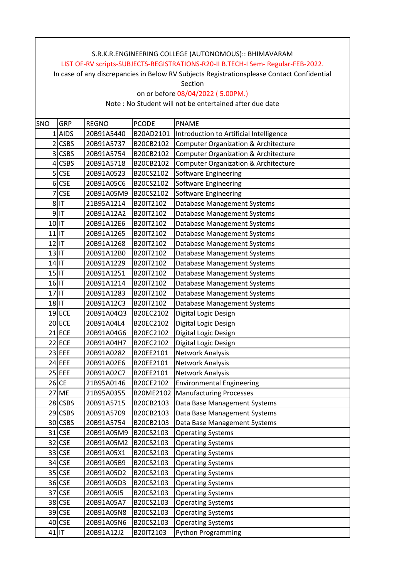In case of any discrepancies in Below RV Subjects Registrationsplease Contact Confidential

Section

on or before 08/04/2022 ( 5.00PM.)

| SNO                   | GRP          | <b>REGNO</b> | <b>PCODE</b> | <b>PNAME</b>                                    |
|-----------------------|--------------|--------------|--------------|-------------------------------------------------|
|                       | 1 AIDS       | 20B91A5440   | B20AD2101    | Introduction to Artificial Intelligence         |
| 2                     | <b>CSBS</b>  | 20B91A5737   | B20CB2102    | <b>Computer Organization &amp; Architecture</b> |
| 3                     | <b>CSBS</b>  | 20B91A5754   | B20CB2102    | Computer Organization & Architecture            |
| 4                     | <b>CSBS</b>  | 20B91A5718   | B20CB2102    | Computer Organization & Architecture            |
| 5                     | <b>CSE</b>   | 20B91A0523   | B20CS2102    | Software Engineering                            |
| 6 <sup>1</sup>        | <b>CSE</b>   | 20B91A05C6   | B20CS2102    | Software Engineering                            |
| $\overline{7}$        | <b>CSE</b>   | 20B91A05M9   | B20CS2102    | Software Engineering                            |
|                       | $8$ IT       | 21B95A1214   | B20IT2102    | Database Management Systems                     |
|                       | $9$  IT      | 20B91A12A2   | B20IT2102    | Database Management Systems                     |
| $10$  T               |              | 20B91A12E6   | B20IT2102    | Database Management Systems                     |
| $11$   $\overline{1}$ |              | 20B91A1265   | B20IT2102    | Database Management Systems                     |
| $12$   IT             |              | 20B91A1268   | B20IT2102    | Database Management Systems                     |
| $13$ T                |              | 20B91A12B0   | B20IT2102    | <b>Database Management Systems</b>              |
| $14$  T               |              | 20B91A1229   | B20IT2102    | Database Management Systems                     |
| $15$   $\overline{1}$ |              | 20B91A1251   | B20IT2102    | Database Management Systems                     |
| $16$ IT               |              | 20B91A1214   | B20IT2102    | Database Management Systems                     |
| $17$ IT               |              | 20B91A1283   | B20IT2102    | Database Management Systems                     |
| $18$ IT               |              | 20B91A12C3   | B20IT2102    | Database Management Systems                     |
|                       | $19$ ECE     | 20B91A04Q3   | B20EC2102    | Digital Logic Design                            |
|                       | 20 ECE       | 20B91A04L4   | B20EC2102    | Digital Logic Design                            |
|                       | $21$ ECE     | 20B91A04G6   | B20EC2102    | Digital Logic Design                            |
|                       | 22 ECE       | 20B91A04H7   | B20EC2102    | Digital Logic Design                            |
|                       | 23 EEE       | 20B91A0282   | B20EE2101    | Network Analysis                                |
|                       | 24 EEE       | 20B91A02E6   | B20EE2101    | Network Analysis                                |
|                       | $25$ EEE     | 20B91A02C7   | B20EE2101    | Network Analysis                                |
|                       | $26$ CE      | 21B95A0146   | B20CE2102    | <b>Environmental Engineering</b>                |
|                       | <b>27 ME</b> | 21B95A0355   | B20ME2102    | <b>Manufacturing Processes</b>                  |
|                       | 28 CSBS      | 20B91A5715   | B20CB2103    | Data Base Management Systems                    |
|                       | 29 CSBS      | 20B91A5709   | B20CB2103    | Data Base Management Systems                    |
|                       | 30 CSBS      | 20B91A5754   | B20CB2103    | Data Base Management Systems                    |
|                       | 31 CSE       | 20B91A05M9   | B20CS2103    | <b>Operating Systems</b>                        |
|                       | 32 CSE       | 20B91A05M2   | B20CS2103    | <b>Operating Systems</b>                        |
|                       | 33 CSE       | 20B91A05X1   | B20CS2103    | <b>Operating Systems</b>                        |
|                       | 34 CSE       | 20B91A05B9   | B20CS2103    | <b>Operating Systems</b>                        |
|                       | 35 CSE       | 20B91A05D2   | B20CS2103    | <b>Operating Systems</b>                        |
|                       | 36 CSE       | 20B91A05D3   | B20CS2103    | <b>Operating Systems</b>                        |
|                       | 37 CSE       | 20B91A05I5   | B20CS2103    | <b>Operating Systems</b>                        |
|                       | 38 CSE       | 20B91A05A7   | B20CS2103    | <b>Operating Systems</b>                        |
|                       | 39 CSE       | 20B91A05N8   | B20CS2103    | <b>Operating Systems</b>                        |
|                       | 40 CSE       | 20B91A05N6   | B20CS2103    | <b>Operating Systems</b>                        |
|                       | $41$   IT    | 20B91A12J2   | B20IT2103    | Python Programming                              |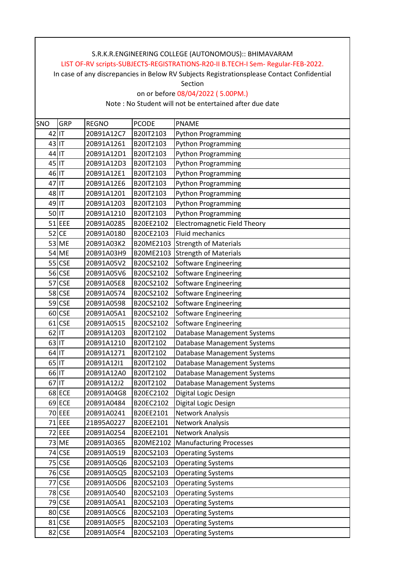In case of any discrepancies in Below RV Subjects Registrationsplease Contact Confidential

Section

#### on or before 08/04/2022 ( 5.00PM.)

| SNO      | GRP           | <b>REGNO</b> | <b>PCODE</b> | <b>PNAME</b>                        |
|----------|---------------|--------------|--------------|-------------------------------------|
| $42$  IT |               | 20B91A12C7   | B20IT2103    | Python Programming                  |
| 43 IT    |               | 20B91A1261   | B20IT2103    | <b>Python Programming</b>           |
| 44 IT    |               | 20B91A12D1   | B20IT2103    | <b>Python Programming</b>           |
| 45 IT    |               | 20B91A12D3   | B20IT2103    | <b>Python Programming</b>           |
| 46 IT    |               | 20B91A12E1   | B20IT2103    | <b>Python Programming</b>           |
| $47$ IT  |               | 20B91A12E6   | B20IT2103    | Python Programming                  |
| 48 IT    |               | 20B91A1201   | B20IT2103    | <b>Python Programming</b>           |
| 49 IT    |               | 20B91A1203   | B20IT2103    | <b>Python Programming</b>           |
| 50 IT    |               | 20B91A1210   | B20IT2103    | <b>Python Programming</b>           |
|          | $51$ EEE      | 20B91A0285   | B20EE2102    | <b>Electromagnetic Field Theory</b> |
|          | $52$ CE       | 20B91A0180   | B20CE2103    | Fluid mechanics                     |
|          | 53 ME         | 20B91A03K2   | B20ME2103    | <b>Strength of Materials</b>        |
|          | 54 ME         | 20B91A03H9   | B20ME2103    | <b>Strength of Materials</b>        |
|          | 55 CSE        | 20B91A05V2   | B20CS2102    | <b>Software Engineering</b>         |
|          | 56 CSE        | 20B91A05V6   | B20CS2102    | <b>Software Engineering</b>         |
|          | 57 CSE        | 20B91A05E8   | B20CS2102    | Software Engineering                |
|          | 58 CSE        | 20B91A0574   | B20CS2102    | Software Engineering                |
|          | 59 CSE        | 20B91A0598   | B20CS2102    | Software Engineering                |
|          | 60 CSE        | 20B91A05A1   | B20CS2102    | Software Engineering                |
|          | $61$ CSE      | 20B91A0515   | B20CS2102    | <b>Software Engineering</b>         |
| $62$ IT  |               | 20B91A1203   | B20IT2102    | Database Management Systems         |
| $63$ IT  |               | 20B91A1210   | B20IT2102    | Database Management Systems         |
| 64 IT    |               | 20B91A1271   | B20IT2102    | Database Management Systems         |
| 65 IT    |               | 20B91A12I1   | B20IT2102    | Database Management Systems         |
| 66 IT    |               | 20B91A12A0   | B20IT2102    | Database Management Systems         |
| 67 IT    |               | 20B91A12J2   | B20IT2102    | Database Management Systems         |
|          | 68 ECE        | 20B91A04G8   | B20EC2102    | Digital Logic Design                |
|          | 69 ECE        | 20B91A0484   | B20EC2102    | Digital Logic Design                |
|          | 70 EEE        | 20B91A0241   | B20EE2101    | Network Analysis                    |
|          | 71 EEE        | 21B95A0227   | B20EE2101    | Network Analysis                    |
|          | 72 EEE        | 20B91A0254   | B20EE2101    | Network Analysis                    |
|          | 73 ME         | 20B91A0365   | B20ME2102    | <b>Manufacturing Processes</b>      |
|          | 74 CSE        | 20B91A0519   | B20CS2103    | <b>Operating Systems</b>            |
|          | 75 CSE        | 20B91A05Q6   | B20CS2103    | <b>Operating Systems</b>            |
|          | 76 CSE        | 20B91A05Q5   | B20CS2103    | <b>Operating Systems</b>            |
|          | 77 CSE        | 20B91A05D6   | B20CS2103    | <b>Operating Systems</b>            |
|          | 78 CSE        | 20B91A0540   | B20CS2103    | <b>Operating Systems</b>            |
|          | <b>79 CSE</b> | 20B91A05A1   | B20CS2103    | <b>Operating Systems</b>            |
|          | 80 CSE        | 20B91A05C6   | B20CS2103    | <b>Operating Systems</b>            |
|          | 81 CSE        | 20B91A05F5   | B20CS2103    | <b>Operating Systems</b>            |
|          | 82 CSE        | 20B91A05F4   | B20CS2103    | <b>Operating Systems</b>            |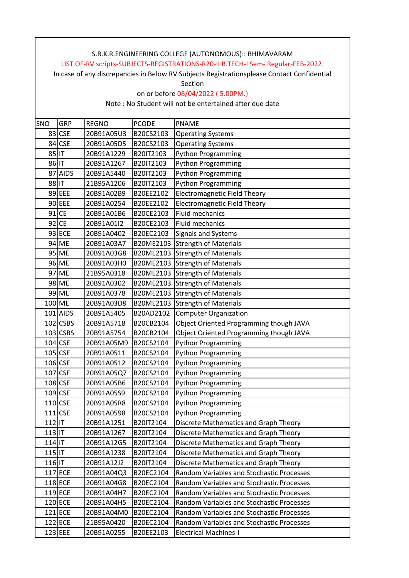In case of any discrepancies in Below RV Subjects Registrationsplease Contact Confidential

Section

on or before 08/04/2022 ( 5.00PM.)

| SNO      | GRP                  | <b>REGNO</b> | <b>PCODE</b> | <b>PNAME</b>                              |
|----------|----------------------|--------------|--------------|-------------------------------------------|
| 83       | <b>CSE</b>           | 20B91A05U3   | B20CS2103    | <b>Operating Systems</b>                  |
| 84       | <b>CSE</b>           | 20B91A05D5   | B20CS2103    | <b>Operating Systems</b>                  |
| 85 IT    |                      | 20B91A1229   | B20IT2103    | Python Programming                        |
| 86 IT    |                      | 20B91A1267   | B20IT2103    | <b>Python Programming</b>                 |
|          | 87 AIDS              | 20B91A5440   | B20IT2103    | <b>Python Programming</b>                 |
| 88 IT    |                      | 21B95A1206   | B20IT2103    | <b>Python Programming</b>                 |
|          | 89 EEE               | 20B91A02B9   | B20EE2102    | <b>Electromagnetic Field Theory</b>       |
|          | 90 EEE               | 20B91A0254   | B20EE2102    | <b>Electromagnetic Field Theory</b>       |
|          | $91$ CE              | 20B91A01B6   | B20CE2103    | Fluid mechanics                           |
|          | 92 CE                | 20B91A01I2   | B20CE2103    | <b>Fluid mechanics</b>                    |
|          | 93 ECE               | 20B91A0402   | B20EC2103    | Signals and Systems                       |
|          | 94 ME                | 20B91A03A7   | B20ME2103    | <b>Strength of Materials</b>              |
|          | 95 ME                | 20B91A03G8   | B20ME2103    | <b>Strength of Materials</b>              |
|          | 96 ME                | 20B91A03H0   | B20ME2103    | <b>Strength of Materials</b>              |
|          | 97 ME                | 21B95A0318   |              | B20ME2103 Strength of Materials           |
|          | 98 ME                | 20B91A0302   | B20ME2103    | <b>Strength of Materials</b>              |
|          | 99 ME                | 20B91A0378   | B20ME2103    | <b>Strength of Materials</b>              |
|          | 100 ME               | 20B91A03D8   | B20ME2103    | <b>Strength of Materials</b>              |
|          | 101 AIDS             | 20B91A5405   | B20AD2102    | <b>Computer Organization</b>              |
|          | 102 CSBS             | 20B91A5718   | B20CB2104    | Object Oriented Programming though JAVA   |
|          | $103$ CSBS           | 20B91A5754   | B20CB2104    | Object Oriented Programming though JAVA   |
|          | $104$ CSE            | 20B91A05M9   | B20CS2104    | <b>Python Programming</b>                 |
|          | $105$ CSE            | 20B91A0511   | B20CS2104    | Python Programming                        |
|          | $106$ <sub>CSE</sub> | 20B91A0512   | B20CS2104    | Python Programming                        |
|          | 107 CSE              | 20B91A05Q7   | B20CS2104    | Python Programming                        |
|          | 108 CSE              | 20B91A05B6   | B20CS2104    | Python Programming                        |
|          | $109$ <sub>CSE</sub> | 20B91A05S9   | B20CS2104    | <b>Python Programming</b>                 |
|          | $110$ <sub>CSE</sub> | 20B91A05R8   | B20CS2104    | <b>Python Programming</b>                 |
|          | $111$ CSE            | 20B91A0598   | B20CS2104    | <b>Python Programming</b>                 |
| 112      |                      | 20B91A1251   | B20IT2104    | Discrete Mathematics and Graph Theory     |
| 113      |                      | 20B91A1267   | B20IT2104    | Discrete Mathematics and Graph Theory     |
| 114      |                      | 20B91A12G5   | B20IT2104    | Discrete Mathematics and Graph Theory     |
| $115$ IT |                      | 20B91A1238   | B20IT2104    | Discrete Mathematics and Graph Theory     |
| 116 IT   |                      | 20B91A12J2   | B20IT2104    | Discrete Mathematics and Graph Theory     |
|          | 117 ECE              | 20B91A04Q3   | B20EC2104    | Random Variables and Stochastic Processes |
|          | 118 ECE              | 20B91A04G8   | B20EC2104    | Random Variables and Stochastic Processes |
|          | 119 ECE              | 20B91A04H7   | B20EC2104    | Random Variables and Stochastic Processes |
|          | 120 ECE              | 20B91A04H5   | B20EC2104    | Random Variables and Stochastic Processes |
|          | 121 ECE              | 20B91A04M0   | B20EC2104    | Random Variables and Stochastic Processes |
|          | 122 ECE              | 21B95A0420   | B20EC2104    | Random Variables and Stochastic Processes |
|          | 123 EEE              | 20B91A0255   | B20EE2103    | <b>Electrical Machines-I</b>              |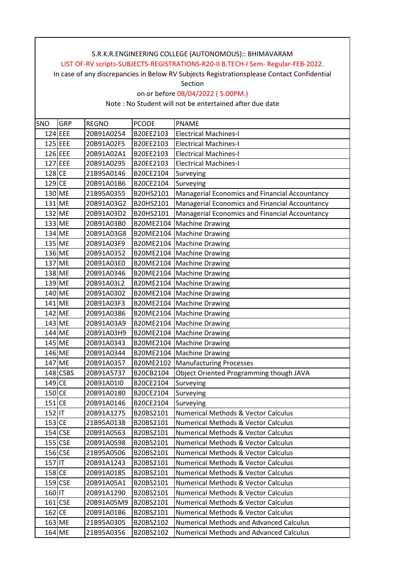In case of any discrepancies in Below RV Subjects Registrationsplease Contact Confidential

Section

on or before 08/04/2022 ( 5.00PM.)

| SNO       | GRP        | <b>REGNO</b> | <b>PCODE</b> | <b>PNAME</b>                                   |
|-----------|------------|--------------|--------------|------------------------------------------------|
|           | 124 EEE    | 20B91A0254   | B20EE2103    | <b>Electrical Machines-I</b>                   |
|           | $125$ EEE  | 20B91A02F5   | B20EE2103    | <b>Electrical Machines-I</b>                   |
|           | $126$ EEE  | 20B91A02A1   | B20EE2103    | <b>Electrical Machines-I</b>                   |
|           | $127$ EEE  | 20B91A0295   | B20EE2103    | <b>Electrical Machines-I</b>                   |
| 128 CE    |            | 21B95A0146   | B20CE2104    | Surveying                                      |
| $129$ CE  |            | 20B91A01B6   | B20CE2104    | Surveying                                      |
|           | 130 ME     | 21B95A0355   | B20HS2101    | Managerial Economics and Financial Accountancy |
|           | 131 ME     | 20B91A03G2   | B20HS2101    | Managerial Economics and Financial Accountancy |
|           | 132 ME     | 20B91A03D2   | B20HS2101    | Managerial Economics and Financial Accountancy |
|           | 133 ME     | 20B91A03B0   | B20ME2104    | <b>Machine Drawing</b>                         |
|           | 134 ME     | 20B91A03G8   | B20ME2104    | Machine Drawing                                |
|           | 135 ME     | 20B91A03F9   | B20ME2104    | <b>Machine Drawing</b>                         |
|           | 136 ME     | 20B91A0352   |              | B20ME2104   Machine Drawing                    |
|           | 137 ME     | 20B91A03E0   | B20ME2104    | <b>Machine Drawing</b>                         |
|           | 138 ME     | 20B91A0346   |              | B20ME2104 Machine Drawing                      |
|           | 139 ME     | 20B91A03L2   | B20ME2104    | Machine Drawing                                |
|           | 140 ME     | 20B91A0302   |              | B20ME2104 Machine Drawing                      |
|           | 141 ME     | 20B91A03F3   |              | B20ME2104   Machine Drawing                    |
|           | 142 ME     | 20B91A0386   | B20ME2104    | <b>Machine Drawing</b>                         |
|           | 143 ME     | 20B91A03A9   |              | B20ME2104   Machine Drawing                    |
|           | 144 ME     | 20B91A03H9   | B20ME2104    | <b>Machine Drawing</b>                         |
|           | 145 ME     | 20B91A0343   | B20ME2104    | <b>Machine Drawing</b>                         |
|           | 146 ME     | 20B91A0344   | B20ME2104    | Machine Drawing                                |
|           | 147 ME     | 20B91A0357   | B20ME2102    | <b>Manufacturing Processes</b>                 |
|           | $148$ CSBS | 20B91A5737   | B20CB2104    | Object Oriented Programming though JAVA        |
| 149 CE    |            | 20B91A01I0   | B20CE2104    | Surveying                                      |
| 150 CE    |            | 20B91A0180   | B20CE2104    | Surveying                                      |
| $151$ CE  |            | 20B91A0146   | B20CE2104    | Surveying                                      |
| $152$  IT |            | 20B91A1275   | B20BS2101    | Numerical Methods & Vector Calculus            |
| $153$ CE  |            | 21B95A0138   | B20BS2101    | <b>Numerical Methods &amp; Vector Calculus</b> |
|           | 154 CSE    | 20B91A0563   | B20BS2101    | <b>Numerical Methods &amp; Vector Calculus</b> |
|           | $155$ CSE  | 20B91A0598   | B20BS2101    | <b>Numerical Methods &amp; Vector Calculus</b> |
|           | 156 CSE    | 21B95A0506   | B20BS2101    | <b>Numerical Methods &amp; Vector Calculus</b> |
| $157$ IT  |            | 20B91A1243   | B20BS2101    | <b>Numerical Methods &amp; Vector Calculus</b> |
| 158 CE    |            | 20B91A0185   | B20BS2101    | <b>Numerical Methods &amp; Vector Calculus</b> |
|           | $159$ CSE  | 20B91A05A1   | B20BS2101    | <b>Numerical Methods &amp; Vector Calculus</b> |
| 160 IT    |            | 20B91A1290   | B20BS2101    | <b>Numerical Methods &amp; Vector Calculus</b> |
|           | $161$ CSE  | 20B91A05M9   | B20BS2101    | <b>Numerical Methods &amp; Vector Calculus</b> |
| $162$ CE  |            | 20B91A01B6   | B20BS2101    | <b>Numerical Methods &amp; Vector Calculus</b> |
|           | 163 ME     | 21B95A0305   | B20BS2102    | <b>Numerical Methods and Advanced Calculus</b> |
|           | 164 ME     | 21B95A0356   | B20BS2102    | <b>Numerical Methods and Advanced Calculus</b> |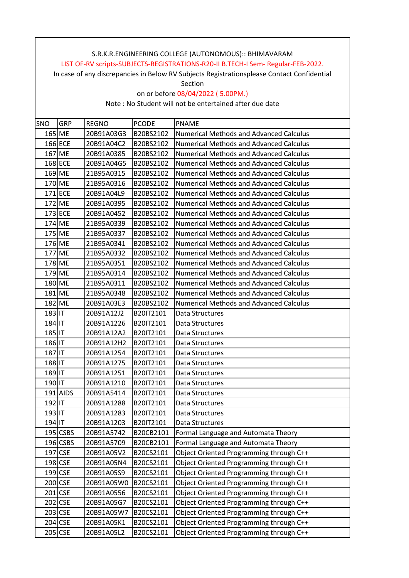In case of any discrepancies in Below RV Subjects Registrationsplease Contact Confidential

Section

on or before 08/04/2022 ( 5.00PM.)

| SNO    | <b>GRP</b> | <b>REGNO</b> | <b>PCODE</b> | <b>PNAME</b>                                   |
|--------|------------|--------------|--------------|------------------------------------------------|
|        | 165 ME     | 20B91A03G3   | B20BS2102    | <b>Numerical Methods and Advanced Calculus</b> |
|        | 166 ECE    | 20B91A04C2   | B20BS2102    | <b>Numerical Methods and Advanced Calculus</b> |
|        | 167 ME     | 20B91A0385   | B20BS2102    | <b>Numerical Methods and Advanced Calculus</b> |
|        | 168 ECE    | 20B91A04G5   | B20BS2102    | <b>Numerical Methods and Advanced Calculus</b> |
|        | 169 ME     | 21B95A0315   | B20BS2102    | <b>Numerical Methods and Advanced Calculus</b> |
|        | 170 ME     | 21B95A0316   | B20BS2102    | <b>Numerical Methods and Advanced Calculus</b> |
|        | $171$ ECE  | 20B91A04L9   | B20BS2102    | <b>Numerical Methods and Advanced Calculus</b> |
|        | 172 ME     | 20B91A0395   | B20BS2102    | <b>Numerical Methods and Advanced Calculus</b> |
|        | 173 ECE    | 20B91A0452   | B20BS2102    | <b>Numerical Methods and Advanced Calculus</b> |
|        | 174 ME     | 21B95A0339   | B20BS2102    | <b>Numerical Methods and Advanced Calculus</b> |
|        | 175 ME     | 21B95A0337   | B20BS2102    | <b>Numerical Methods and Advanced Calculus</b> |
|        | 176 ME     | 21B95A0341   | B20BS2102    | <b>Numerical Methods and Advanced Calculus</b> |
|        | 177 ME     | 21B95A0332   | B20BS2102    | <b>Numerical Methods and Advanced Calculus</b> |
|        | 178 ME     | 21B95A0351   | B20BS2102    | <b>Numerical Methods and Advanced Calculus</b> |
|        | 179 ME     | 21B95A0314   | B20BS2102    | <b>Numerical Methods and Advanced Calculus</b> |
|        | 180 ME     | 21B95A0311   | B20BS2102    | <b>Numerical Methods and Advanced Calculus</b> |
|        | 181 ME     | 21B95A0348   | B20BS2102    | <b>Numerical Methods and Advanced Calculus</b> |
|        | 182 ME     | 20B91A03E3   | B20BS2102    | <b>Numerical Methods and Advanced Calculus</b> |
| 183 IT |            | 20B91A12J2   | B20IT2101    | Data Structures                                |
| 184 IT |            | 20B91A1226   | B20IT2101    | Data Structures                                |
| 185 IT |            | 20B91A12A2   | B20IT2101    | Data Structures                                |
| 186 IT |            | 20B91A12H2   | B20IT2101    | Data Structures                                |
| 187 IT |            | 20B91A1254   | B20IT2101    | Data Structures                                |
| 188 IT |            | 20B91A1275   | B20IT2101    | Data Structures                                |
| 189 IT |            | 20B91A1251   | B20IT2101    | Data Structures                                |
| 190 IT |            | 20B91A1210   | B20IT2101    | Data Structures                                |
|        | 191 AIDS   | 20B91A5414   | B20IT2101    | Data Structures                                |
| 192 IT |            | 20B91A1288   | B20IT2101    | Data Structures                                |
| 193 IT |            | 20B91A1283   | B20IT2101    | Data Structures                                |
| 194 IT |            | 20B91A1203   | B20IT2101    | Data Structures                                |
|        | $195$ CSBS | 20B91A5742   | B20CB2101    | Formal Language and Automata Theory            |
|        | $196$ CSBS | 20B91A5709   | B20CB2101    | Formal Language and Automata Theory            |
|        | 197 CSE    | 20B91A05V2   | B20CS2101    | Object Oriented Programming through C++        |
|        | 198 CSE    | 20B91A05N4   | B20CS2101    | Object Oriented Programming through C++        |
|        | $199$ CSE  | 20B91A05S9   | B20CS2101    | Object Oriented Programming through C++        |
|        | 200 CSE    | 20B91A05W0   | B20CS2101    | Object Oriented Programming through C++        |
|        | 201 CSE    | 20B91A0556   | B20CS2101    | Object Oriented Programming through C++        |
|        | 202 CSE    | 20B91A05G7   | B20CS2101    | Object Oriented Programming through C++        |
|        | 203 CSE    | 20B91A05W7   | B20CS2101    | Object Oriented Programming through C++        |
|        | 204 CSE    | 20B91A05K1   | B20CS2101    | Object Oriented Programming through C++        |
|        | 205 CSE    | 20B91A05L2   | B20CS2101    | Object Oriented Programming through C++        |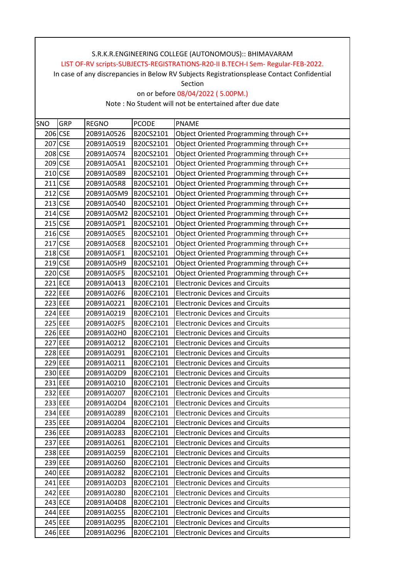In case of any discrepancies in Below RV Subjects Registrationsplease Contact Confidential

Section

on or before 08/04/2022 ( 5.00PM.)

| SNO | GRP                  | <b>REGNO</b> | <b>PCODE</b> | <b>PNAME</b>                            |
|-----|----------------------|--------------|--------------|-----------------------------------------|
|     | 206 CSE              | 20B91A0526   | B20CS2101    | Object Oriented Programming through C++ |
|     | 207 CSE              | 20B91A0519   | B20CS2101    | Object Oriented Programming through C++ |
|     | 208 CSE              | 20B91A0574   | B20CS2101    | Object Oriented Programming through C++ |
|     | 209 CSE              | 20B91A05A1   | B20CS2101    | Object Oriented Programming through C++ |
|     | 210 CSE              | 20B91A05B9   | B20CS2101    | Object Oriented Programming through C++ |
|     | $211$ CSE            | 20B91A05R8   | B20CS2101    | Object Oriented Programming through C++ |
|     | $212$ CSE            | 20B91A05M9   | B20CS2101    | Object Oriented Programming through C++ |
|     | $213$ CSE            | 20B91A0540   | B20CS2101    | Object Oriented Programming through C++ |
|     | $214$ CSE            | 20B91A05M2   | B20CS2101    | Object Oriented Programming through C++ |
|     | $215$ CSE            | 20B91A05P1   | B20CS2101    | Object Oriented Programming through C++ |
|     | $216$ <sub>CSE</sub> | 20B91A05E5   | B20CS2101    | Object Oriented Programming through C++ |
|     | 217 CSE              | 20B91A05E8   | B20CS2101    | Object Oriented Programming through C++ |
|     | $218$ CSE            | 20B91A05F1   | B20CS2101    | Object Oriented Programming through C++ |
|     | $219$ CSE            | 20B91A05H9   | B20CS2101    | Object Oriented Programming through C++ |
|     | 220 CSE              | 20B91A05F5   | B20CS2101    | Object Oriented Programming through C++ |
|     | 221 ECE              | 20B91A0413   | B20EC2101    | <b>Electronic Devices and Circuits</b>  |
|     | 222 EEE              | 20B91A02F6   | B20EC2101    | <b>Electronic Devices and Circuits</b>  |
|     | 223 EEE              | 20B91A0221   | B20EC2101    | <b>Electronic Devices and Circuits</b>  |
|     | 224 EEE              | 20B91A0219   | B20EC2101    | <b>Electronic Devices and Circuits</b>  |
|     | 225 EEE              | 20B91A02F5   | B20EC2101    | <b>Electronic Devices and Circuits</b>  |
|     | 226 EEE              | 20B91A02H0   | B20EC2101    | <b>Electronic Devices and Circuits</b>  |
|     | 227 EEE              | 20B91A0212   | B20EC2101    | <b>Electronic Devices and Circuits</b>  |
|     | 228 EEE              | 20B91A0291   | B20EC2101    | <b>Electronic Devices and Circuits</b>  |
|     | 229 EEE              | 20B91A0211   | B20EC2101    | <b>Electronic Devices and Circuits</b>  |
|     | 230 EEE              | 20B91A02D9   | B20EC2101    | <b>Electronic Devices and Circuits</b>  |
|     | 231 EEE              | 20B91A0210   | B20EC2101    | <b>Electronic Devices and Circuits</b>  |
|     | 232 EEE              | 20B91A0207   | B20EC2101    | <b>Electronic Devices and Circuits</b>  |
|     | 233 EEE              | 20B91A02D4   | B20EC2101    | <b>Electronic Devices and Circuits</b>  |
|     | 234 EEE              | 20B91A0289   | B20EC2101    | <b>Electronic Devices and Circuits</b>  |
|     | 235 EEE              | 20B91A0204   | B20EC2101    | <b>Electronic Devices and Circuits</b>  |
|     | 236 EEE              | 20B91A0283   | B20EC2101    | <b>Electronic Devices and Circuits</b>  |
|     | 237 EEE              | 20B91A0261   | B20EC2101    | <b>Electronic Devices and Circuits</b>  |
|     | 238 EEE              | 20B91A0259   | B20EC2101    | <b>Electronic Devices and Circuits</b>  |
|     | 239 EEE              | 20B91A0260   | B20EC2101    | <b>Electronic Devices and Circuits</b>  |
|     | 240 EEE              | 20B91A0282   | B20EC2101    | <b>Electronic Devices and Circuits</b>  |
|     | 241 EEE              | 20B91A02D3   | B20EC2101    | <b>Electronic Devices and Circuits</b>  |
|     | 242 EEE              | 20B91A0280   | B20EC2101    | <b>Electronic Devices and Circuits</b>  |
|     | 243 ECE              | 20B91A04D8   | B20EC2101    | <b>Electronic Devices and Circuits</b>  |
|     | 244 EEE              | 20B91A0255   | B20EC2101    | <b>Electronic Devices and Circuits</b>  |
|     | 245 EEE              | 20B91A0295   | B20EC2101    | <b>Electronic Devices and Circuits</b>  |
|     | 246 EEE              | 20B91A0296   | B20EC2101    | <b>Electronic Devices and Circuits</b>  |